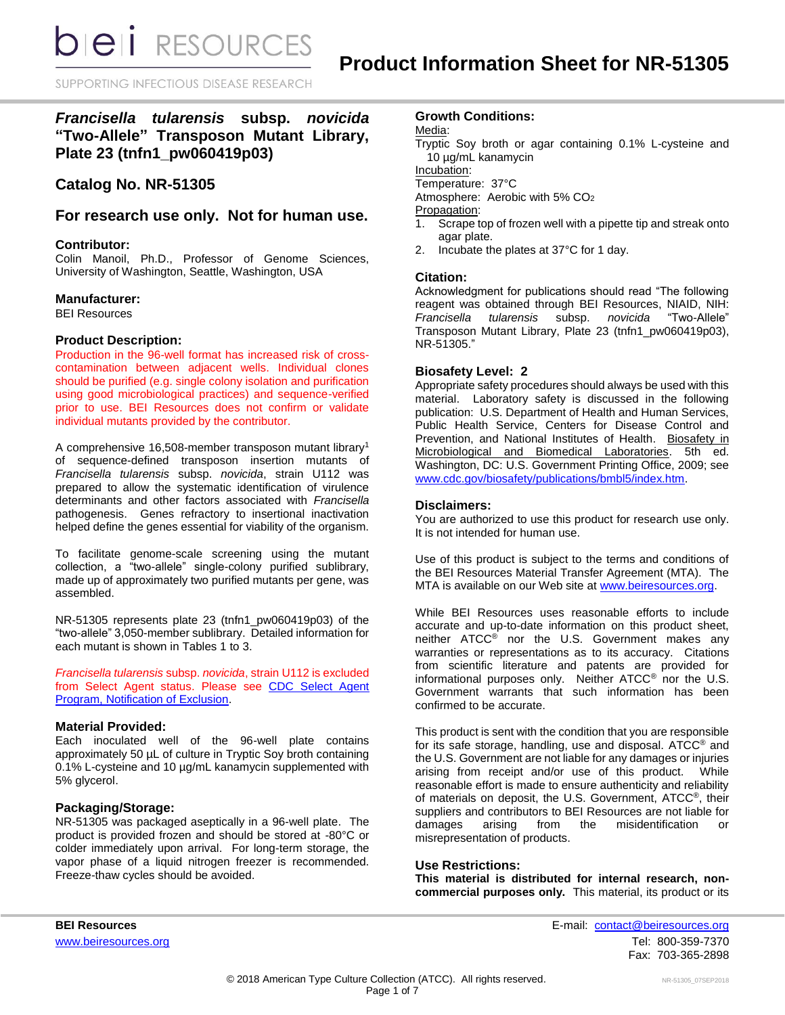SUPPORTING INFECTIOUS DISEASE RESEARCH

## *Francisella tularensis* **subsp.** *novicida* **"Two-Allele" Transposon Mutant Library, Plate 23 (tnfn1\_pw060419p03)**

## **Catalog No. NR-51305**

### **For research use only. Not for human use.**

#### **Contributor:**

Colin Manoil, Ph.D., Professor of Genome Sciences, University of Washington, Seattle, Washington, USA

#### **Manufacturer:**

BEI Resources

#### **Product Description:**

Production in the 96-well format has increased risk of crosscontamination between adjacent wells. Individual clones should be purified (e.g. single colony isolation and purification using good microbiological practices) and sequence-verified prior to use. BEI Resources does not confirm or validate individual mutants provided by the contributor.

A comprehensive 16,508-member transposon mutant library<sup>1</sup> of sequence-defined transposon insertion mutants of *Francisella tularensis* subsp. *novicida*, strain U112 was prepared to allow the systematic identification of virulence determinants and other factors associated with *Francisella* pathogenesis. Genes refractory to insertional inactivation helped define the genes essential for viability of the organism.

To facilitate genome-scale screening using the mutant collection, a "two-allele" single-colony purified sublibrary, made up of approximately two purified mutants per gene, was assembled.

NR-51305 represents plate 23 (tnfn1\_pw060419p03) of the "two-allele" 3,050-member sublibrary. Detailed information for each mutant is shown in Tables 1 to 3.

*Francisella tularensis* subsp. *novicida*, strain U112 is excluded from Select Agent status. Please see [CDC Select Agent](http://www.cdc.gov/od/sap/sap/exclusion.htm#background)  [Program, Notification of Exclusion.](http://www.cdc.gov/od/sap/sap/exclusion.htm#background)

#### **Material Provided:**

Each inoculated well of the 96-well plate contains approximately 50 µL of culture in Tryptic Soy broth containing 0.1% L-cysteine and 10 µg/mL kanamycin supplemented with 5% glycerol.

#### **Packaging/Storage:**

NR-51305 was packaged aseptically in a 96-well plate. The product is provided frozen and should be stored at -80°C or colder immediately upon arrival. For long-term storage, the vapor phase of a liquid nitrogen freezer is recommended. Freeze-thaw cycles should be avoided.

### **Growth Conditions:**

Media:

Tryptic Soy broth or agar containing 0.1% L-cysteine and 10 µg/mL kanamycin

Incubation:

Temperature: 37°C

Atmosphere: Aerobic with 5% CO<sup>2</sup>

Propagation:

- 1. Scrape top of frozen well with a pipette tip and streak onto agar plate.
- 2. Incubate the plates at 37°C for 1 day.

#### **Citation:**

Acknowledgment for publications should read "The following reagent was obtained through BEI Resources, NIAID, NIH: *Francisella tularensis* subsp. *novicida* "Two-Allele" Transposon Mutant Library, Plate 23 (tnfn1\_pw060419p03), NR-51305."

#### **Biosafety Level: 2**

Appropriate safety procedures should always be used with this material. Laboratory safety is discussed in the following publication: U.S. Department of Health and Human Services, Public Health Service, Centers for Disease Control and Prevention, and National Institutes of Health. Biosafety in Microbiological and Biomedical Laboratories. 5th ed. Washington, DC: U.S. Government Printing Office, 2009; see [www.cdc.gov/biosafety/publications/bmbl5/index.htm.](http://www.cdc.gov/biosafety/publications/bmbl5/index.htm)

#### **Disclaimers:**

You are authorized to use this product for research use only. It is not intended for human use.

Use of this product is subject to the terms and conditions of the BEI Resources Material Transfer Agreement (MTA). The MTA is available on our Web site at [www.beiresources.org.](http://www.beiresources.org/)

While BEI Resources uses reasonable efforts to include accurate and up-to-date information on this product sheet, neither ATCC® nor the U.S. Government makes any warranties or representations as to its accuracy. Citations from scientific literature and patents are provided for informational purposes only. Neither ATCC® nor the U.S. Government warrants that such information has been confirmed to be accurate.

This product is sent with the condition that you are responsible for its safe storage, handling, use and disposal. ATCC® and the U.S. Government are not liable for any damages or injuries arising from receipt and/or use of this product. While reasonable effort is made to ensure authenticity and reliability of materials on deposit, the U.S. Government, ATCC®, their suppliers and contributors to BEI Resources are not liable for damages arising from the misidentification or misrepresentation of products.

#### **Use Restrictions:**

**This material is distributed for internal research, noncommercial purposes only.** This material, its product or its

**BEI Resources** E-mail: [contact@beiresources.org](mailto:contact@beiresources.org) [www.beiresources.org](http://www.beiresources.org/)Tel: 800-359-7370 Fax: 703-365-2898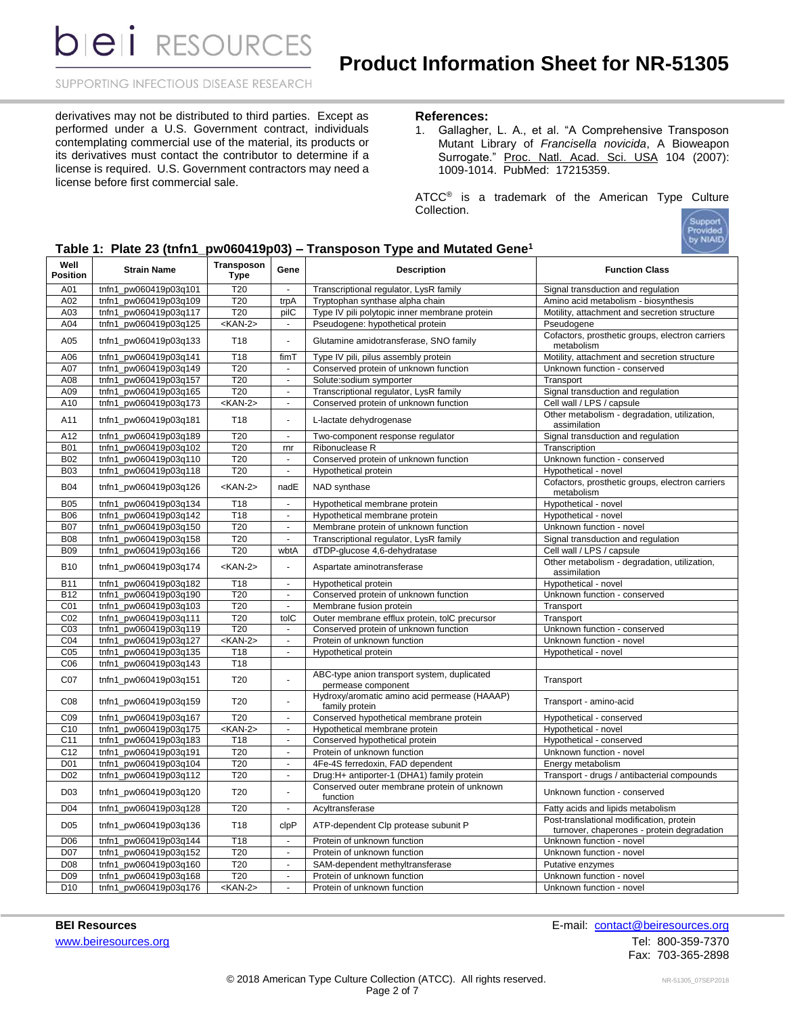SUPPORTING INFECTIOUS DISEASE RESEARCH

derivatives may not be distributed to third parties. Except as performed under a U.S. Government contract, individuals contemplating commercial use of the material, its products or its derivatives must contact the contributor to determine if a license is required. U.S. Government contractors may need a license before first commercial sale.

#### **References:**

1. Gallagher, L. A., et al. "A Comprehensive Transposon Mutant Library of *Francisella novicida*, A Bioweapon Surrogate." Proc. Natl. Acad. Sci. USA 104 (2007): 1009-1014. PubMed: 17215359.

ATCC<sup>®</sup> is a trademark of the American Type Culture Collection.

|  |  |  | Table 1: Plate 23 (tnfn1_pw060419p03) - Transposon Type and Mutated Gene <sup>1</sup> |  |  |  |
|--|--|--|---------------------------------------------------------------------------------------|--|--|--|
|  |  |  |                                                                                       |  |  |  |

| Well<br><b>Position</b> | <b>Strain Name</b>    | Transposon<br><b>Type</b> | Gene                        | <b>Description</b>                                                | <b>Function Class</b>                                                                  |
|-------------------------|-----------------------|---------------------------|-----------------------------|-------------------------------------------------------------------|----------------------------------------------------------------------------------------|
| A01                     | tnfn1 pw060419p03q101 | T <sub>20</sub>           |                             | Transcriptional regulator, LysR family                            | Signal transduction and regulation                                                     |
| A02                     | tnfn1_pw060419p03q109 | T20                       | trpA                        | Tryptophan synthase alpha chain                                   | Amino acid metabolism - biosynthesis                                                   |
| A03                     | tnfn1 pw060419p03q117 | T <sub>20</sub>           | pilC                        | Type IV pili polytopic inner membrane protein                     | Motility, attachment and secretion structure                                           |
| A04                     | tnfn1_pw060419p03q125 | $<$ KAN-2>                | $\sim$                      | Pseudogene: hypothetical protein                                  | Pseudogene                                                                             |
| A05                     | tnfn1_pw060419p03q133 | T <sub>18</sub>           | ä,                          | Glutamine amidotransferase, SNO family                            | Cofactors, prosthetic groups, electron carriers<br>metabolism                          |
| A06                     | tnfn1 pw060419p03q141 | T <sub>18</sub>           | fimT                        | Type IV pili, pilus assembly protein                              | Motility, attachment and secretion structure                                           |
| A07                     | tnfn1_pw060419p03q149 | T <sub>20</sub>           | $\mathbf{r}$                | Conserved protein of unknown function                             | Unknown function - conserved                                                           |
| A08                     | tnfn1 pw060419p03q157 | T20                       | $\blacksquare$              | Solute:sodium symporter                                           | Transport                                                                              |
| A09                     | tnfn1_pw060419p03q165 | T20                       | $\blacksquare$              | Transcriptional regulator, LysR family                            | Signal transduction and regulation                                                     |
| A10                     | tnfn1_pw060419p03q173 | $<$ KAN-2>                | $\omega$                    | Conserved protein of unknown function                             | Cell wall / LPS / capsule                                                              |
| A11                     | tnfn1_pw060419p03q181 | T18                       | $\overline{a}$              | L-lactate dehydrogenase                                           | Other metabolism - degradation, utilization,<br>assimilation                           |
| A12                     | tnfn1_pw060419p03q189 | T20                       | $\omega$                    | Two-component response regulator                                  | Signal transduction and regulation                                                     |
| <b>B01</b>              | tnfn1_pw060419p03q102 | T20                       | rnr                         | Ribonuclease R                                                    | Transcription                                                                          |
| <b>B02</b>              | tnfn1 pw060419p03q110 | T20                       | $\blacksquare$              | Conserved protein of unknown function                             | Unknown function - conserved                                                           |
| <b>B03</b>              | tnfn1_pw060419p03q118 | T20                       | $\sim$                      | Hypothetical protein                                              | Hypothetical - novel                                                                   |
| <b>B04</b>              | tnfn1_pw060419p03q126 | $<$ KAN-2>                | nadE                        | NAD synthase                                                      | Cofactors, prosthetic groups, electron carriers<br>metabolism                          |
| <b>B05</b>              | tnfn1 pw060419p03q134 | T18                       | $\blacksquare$              | Hypothetical membrane protein                                     | Hypothetical - novel                                                                   |
| <b>B06</b>              | tnfn1 pw060419p03q142 | T <sub>18</sub>           | $\sim$                      | Hypothetical membrane protein                                     | Hypothetical - novel                                                                   |
| <b>B07</b>              | tnfn1_pw060419p03q150 | T <sub>20</sub>           | ä,                          | Membrane protein of unknown function                              | Unknown function - novel                                                               |
| <b>B08</b>              | tnfn1_pw060419p03q158 | T20                       | $\sim$                      | Transcriptional regulator, LysR family                            | Signal transduction and regulation                                                     |
| <b>B09</b>              | tnfn1_pw060419p03q166 | T20                       | wbtA                        | dTDP-glucose 4,6-dehydratase                                      | Cell wall / LPS / capsule                                                              |
|                         |                       |                           |                             |                                                                   | Other metabolism - degradation, utilization,                                           |
| <b>B10</b>              | tnfn1 pw060419p03q174 | $<$ KAN-2>                | $\overline{a}$              | Aspartate aminotransferase                                        | assimilation                                                                           |
| <b>B11</b>              | tnfn1_pw060419p03q182 | T <sub>18</sub>           | $\sim$                      | Hypothetical protein                                              | Hypothetical - novel                                                                   |
| <b>B12</b>              | tnfn1 pw060419p03q190 | T20                       | ä,                          | Conserved protein of unknown function                             | Unknown function - conserved                                                           |
| C <sub>01</sub>         | tnfn1_pw060419p03q103 | T20                       | $\blacksquare$              | Membrane fusion protein                                           | Transport                                                                              |
| CO <sub>2</sub>         | tnfn1 pw060419p03q111 | T <sub>20</sub>           | toIC                        | Outer membrane efflux protein, tolC precursor                     | Transport                                                                              |
| C <sub>03</sub>         | tnfn1_pw060419p03q119 | T20                       | $\mathbf{r}$                | Conserved protein of unknown function                             | Unknown function - conserved                                                           |
| CO <sub>4</sub>         | tnfn1_pw060419p03q127 | $<$ KAN-2>                | $\sim$                      | Protein of unknown function                                       | Unknown function - novel                                                               |
| CO <sub>5</sub>         | tnfn1_pw060419p03q135 | T <sub>18</sub>           | $\blacksquare$              | Hypothetical protein                                              | Hypothetical - novel                                                                   |
| C <sub>06</sub>         | tnfn1_pw060419p03q143 | T <sub>18</sub>           |                             |                                                                   |                                                                                        |
| CO7                     | tnfn1_pw060419p03q151 | T <sub>20</sub>           | $\overline{a}$              | ABC-type anion transport system, duplicated<br>permease component | Transport                                                                              |
| C <sub>08</sub>         | tnfn1_pw060419p03q159 | T20                       | $\overline{\phantom{a}}$    | Hydroxy/aromatic amino acid permease (HAAAP)<br>family protein    | Transport - amino-acid                                                                 |
| C <sub>09</sub>         | tnfn1 pw060419p03q167 | T20                       | ÷.                          | Conserved hypothetical membrane protein                           | Hypothetical - conserved                                                               |
| C10                     | tnfn1 pw060419p03q175 | $<$ KAN-2>                | $\mathcal{L}_{\mathcal{A}}$ | Hypothetical membrane protein                                     | Hypothetical - novel                                                                   |
| C <sub>11</sub>         | tnfn1_pw060419p03q183 | T <sub>18</sub>           | $\blacksquare$              | Conserved hypothetical protein                                    | Hypothetical - conserved                                                               |
| C <sub>12</sub>         | tnfn1_pw060419p03q191 | T20                       | $\blacksquare$              | Protein of unknown function                                       | Unknown function - novel                                                               |
| D <sub>01</sub>         | tnfn1_pw060419p03q104 | T20                       | $\Delta$                    | 4Fe-4S ferredoxin, FAD dependent                                  | Energy metabolism                                                                      |
| D <sub>02</sub>         | tnfn1_pw060419p03q112 | T <sub>20</sub>           | $\blacksquare$              | Drug:H+ antiporter-1 (DHA1) family protein                        | Transport - drugs / antibacterial compounds                                            |
| D <sub>03</sub>         | tnfn1_pw060419p03q120 | T20                       | Ĭ.                          | Conserved outer membrane protein of unknown<br>function           | Unknown function - conserved                                                           |
| D04                     | tnfn1_pw060419p03q128 | T20                       | $\sim$                      | Acyltransferase                                                   | Fatty acids and lipids metabolism                                                      |
| D <sub>05</sub>         | tnfn1_pw060419p03q136 | T <sub>18</sub>           | clpP                        | ATP-dependent Clp protease subunit P                              | Post-translational modification, protein<br>turnover, chaperones - protein degradation |
| D06                     | tnfn1 pw060419p03q144 | T <sub>18</sub>           | $\blacksquare$              | Protein of unknown function                                       | Unknown function - novel                                                               |
| D07                     | tnfn1_pw060419p03q152 | T20                       | $\Delta$                    | Protein of unknown function                                       | Unknown function - novel                                                               |
| D08                     | tnfn1_pw060419p03q160 | T20                       | $\blacksquare$              | SAM-dependent methyltransferase                                   | Putative enzymes                                                                       |
| D <sub>09</sub>         | tnfn1_pw060419p03q168 | T20                       | $\blacksquare$              | Protein of unknown function                                       | Unknown function - novel                                                               |
| D <sub>10</sub>         | tnfn1 pw060419p03q176 | $<$ KAN-2>                | ä,                          | Protein of unknown function                                       | Unknown function - novel                                                               |

**BEI Resources** E-mail: [contact@beiresources.org](mailto:contact@beiresources.org) [www.beiresources.org](http://www.beiresources.org/)Tel: 800-359-7370 Fax: 703-365-2898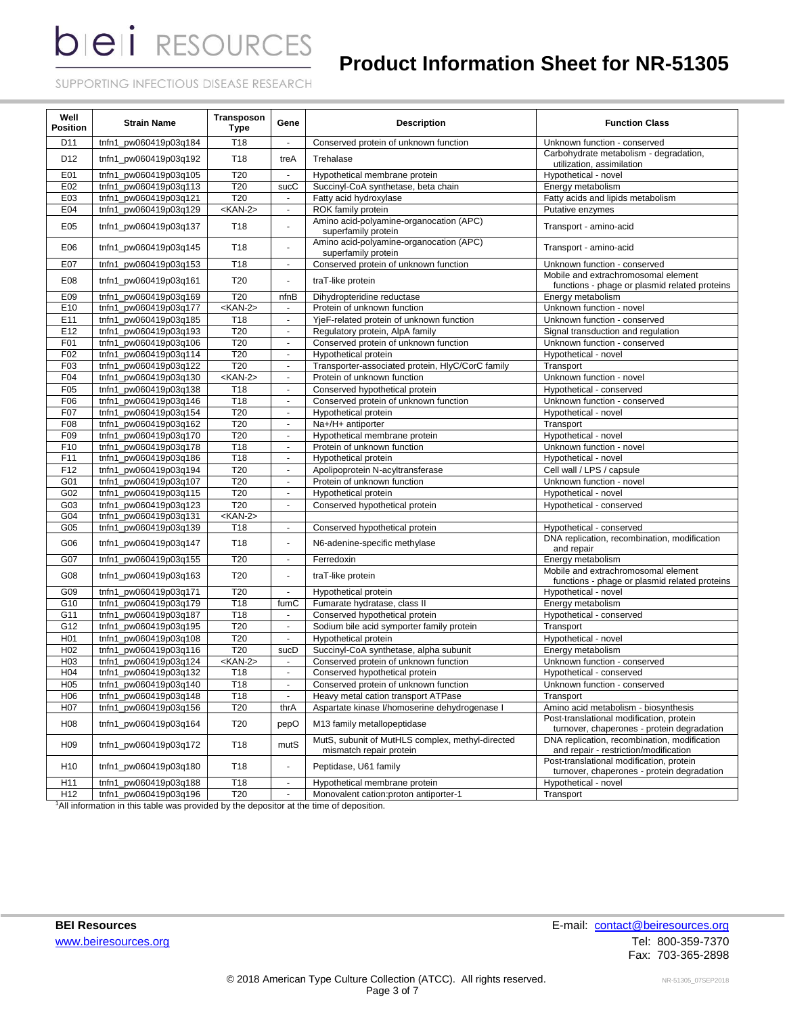## **Product Information Sheet for NR-51305**

SUPPORTING INFECTIOUS DISEASE RESEARCH

| Well<br><b>Position</b> | <b>Strain Name</b>    | Transposon<br><b>Type</b> | Gene                        | <b>Description</b>                                                          | <b>Function Class</b>                                                                  |
|-------------------------|-----------------------|---------------------------|-----------------------------|-----------------------------------------------------------------------------|----------------------------------------------------------------------------------------|
| D11                     | tnfn1_pw060419p03q184 | T <sub>18</sub>           | $\blacksquare$              | Conserved protein of unknown function                                       | Unknown function - conserved                                                           |
| D12                     | tnfn1_pw060419p03q192 | T <sub>18</sub>           | treA                        | Trehalase                                                                   | Carbohydrate metabolism - degradation,<br>utilization, assimilation                    |
| E01                     | tnfn1 pw060419p03q105 | T20                       | ٠                           | Hypothetical membrane protein                                               | Hypothetical - novel                                                                   |
| E02                     | tnfn1 pw060419p03q113 | T20                       | sucC                        | Succinyl-CoA synthetase, beta chain                                         | Energy metabolism                                                                      |
| E03                     | tnfn1_pw060419p03q121 | T20                       | $\blacksquare$              | Fatty acid hydroxylase                                                      | Fatty acids and lipids metabolism                                                      |
| E04                     | tnfn1_pw060419p03q129 | $<$ KAN-2>                | $\blacksquare$              | ROK family protein                                                          | Putative enzymes                                                                       |
| E05                     | tnfn1_pw060419p03q137 | T <sub>18</sub>           | ä,                          | Amino acid-polyamine-organocation (APC)<br>superfamily protein              | Transport - amino-acid                                                                 |
| E06                     | tnfn1 pw060419p03q145 | T <sub>18</sub>           | ä,                          | Amino acid-polyamine-organocation (APC)<br>superfamily protein              | Transport - amino-acid                                                                 |
| E07                     | tnfn1 pw060419p03q153 | T18                       | $\blacksquare$              | Conserved protein of unknown function                                       | Unknown function - conserved                                                           |
| E08                     | tnfn1 pw060419p03q161 | T20                       | ä,                          | traT-like protein                                                           | Mobile and extrachromosomal element<br>functions - phage or plasmid related proteins   |
| E09                     | tnfn1_pw060419p03q169 | T20                       | nfnB                        | Dihydropteridine reductase                                                  | Energy metabolism                                                                      |
| E10                     | tnfn1_pw060419p03q177 | <kan-2></kan-2>           | $\sim$                      | Protein of unknown function                                                 | Unknown function - novel                                                               |
| E11                     | tnfn1_pw060419p03q185 | T18                       | $\sim$                      | YjeF-related protein of unknown function                                    | Unknown function - conserved                                                           |
| E12                     | tnfn1_pw060419p03q193 | T20                       | $\blacksquare$              | Regulatory protein, AlpA family                                             | Signal transduction and regulation                                                     |
| F01                     | tnfn1_pw060419p03q106 | T20                       | $\omega$                    | Conserved protein of unknown function                                       | Unknown function - conserved                                                           |
| F02                     | tnfn1_pw060419p03q114 | T <sub>20</sub>           | $\blacksquare$              | Hypothetical protein                                                        | Hypothetical - novel                                                                   |
| F03                     | tnfn1_pw060419p03q122 | T <sub>20</sub>           | $\sim$                      | Transporter-associated protein, HlyC/CorC family                            | Transport                                                                              |
| F04                     | tnfn1_pw060419p03q130 | $<$ KAN-2>                | $\blacksquare$              | Protein of unknown function                                                 | Unknown function - novel                                                               |
| F05                     | tnfn1_pw060419p03q138 | T <sub>18</sub>           | $\blacksquare$              | Conserved hypothetical protein                                              | Hypothetical - conserved                                                               |
| F06                     | tnfn1_pw060419p03q146 | T18                       | $\mathbf{u}$                | Conserved protein of unknown function                                       | Unknown function - conserved                                                           |
| F07                     | tnfn1_pw060419p03q154 | T20                       | $\mathbf{r}$                | Hypothetical protein                                                        | Hypothetical - novel                                                                   |
| F08                     | tnfn1_pw060419p03q162 | T20                       | $\mathbf{u}$                | Na+/H+ antiporter                                                           | Transport                                                                              |
| F09                     | tnfn1_pw060419p03q170 | T20                       | $\omega$                    | Hypothetical membrane protein                                               | Hypothetical - novel                                                                   |
| F10                     | tnfn1_pw060419p03q178 | T <sub>18</sub>           | $\blacksquare$              | Protein of unknown function                                                 | Unknown function - novel                                                               |
| F11                     | tnfn1_pw060419p03q186 | T18                       | $\blacksquare$              | Hypothetical protein                                                        | Hypothetical - novel                                                                   |
| F12                     | tnfn1_pw060419p03q194 | T20                       | $\blacksquare$              | Apolipoprotein N-acyltransferase                                            | Cell wall / LPS / capsule                                                              |
| G01                     | tnfn1_pw060419p03q107 | T20                       | $\omega$                    | Protein of unknown function                                                 | Unknown function - novel                                                               |
| G02                     | tnfn1_pw060419p03q115 | T20                       | $\mathbf{u}$                | Hypothetical protein                                                        | Hypothetical - novel                                                                   |
| G03                     | tnfn1_pw060419p03q123 | T <sub>20</sub>           | $\mathbf{r}$                | Conserved hypothetical protein                                              | Hypothetical - conserved                                                               |
| G04                     | tnfn1_pw060419p03q131 | $<$ KAN-2>                |                             |                                                                             |                                                                                        |
| G05                     | tnfn1_pw060419p03q139 | T <sub>18</sub>           | $\blacksquare$              | Conserved hypothetical protein                                              | Hypothetical - conserved                                                               |
| G06                     | tnfn1_pw060419p03q147 | T18                       | ÷.                          | N6-adenine-specific methylase                                               | DNA replication, recombination, modification<br>and repair                             |
| G07                     | tnfn1_pw060419p03q155 | T20                       | $\mathbf{r}$                | Ferredoxin                                                                  | Energy metabolism                                                                      |
| G08                     | tnfn1_pw060419p03q163 | T20                       | $\blacksquare$              | traT-like protein                                                           | Mobile and extrachromosomal element<br>functions - phage or plasmid related proteins   |
| G09                     | tnfn1_pw060419p03q171 | T20                       | $\omega$                    | Hypothetical protein                                                        | Hypothetical - novel                                                                   |
| G10                     | tnfn1_pw060419p03q179 | T18                       | fumC                        | Fumarate hydratase, class II                                                | Energy metabolism                                                                      |
| G11                     | tnfn1 pw060419p03q187 | T18                       | $\sim$                      | Conserved hypothetical protein                                              | Hypothetical - conserved                                                               |
| G12                     | tnfn1 pw060419p03q195 | T20                       | $\blacksquare$              | Sodium bile acid symporter family protein                                   | Transport                                                                              |
| H <sub>01</sub>         | tnfn1 pw060419p03q108 | T20                       | $\blacksquare$              | Hypothetical protein                                                        | Hypothetical - novel                                                                   |
| H <sub>02</sub>         | tnfn1 pw060419p03q116 | T20                       | sucD                        | Succinyl-CoA synthetase, alpha subunit                                      | Energy metabolism                                                                      |
| H <sub>03</sub>         | tnfn1 pw060419p03q124 | <kan-2></kan-2>           | $\blacksquare$              | Conserved protein of unknown function                                       | Unknown function - conserved                                                           |
| H <sub>04</sub>         | tnfn1_pw060419p03q132 | T18                       | $\mathbf{r}$                | Conserved hypothetical protein                                              | Hypothetical - conserved                                                               |
| HU5                     | tnfn1_pw060419p03q140 | 118                       | $\overline{\phantom{a}}$    | Conserved protein of unknown function                                       | Unknown function - conserved                                                           |
| H <sub>06</sub>         | tnfn1_pw060419p03q148 | T18                       | $\mathcal{L}_{\mathcal{A}}$ | Heavy metal cation transport ATPase                                         | Transport                                                                              |
| H <sub>0</sub> 7        | tnfn1_pw060419p03q156 | T <sub>20</sub>           | thrA                        | Aspartate kinase l/homoserine dehydrogenase I                               | Amino acid metabolism - biosynthesis                                                   |
| H <sub>08</sub>         | tnfn1_pw060419p03q164 | T20                       | pepO                        | M13 family metallopeptidase                                                 | Post-translational modification, protein<br>turnover, chaperones - protein degradation |
| H <sub>09</sub>         | tnfn1_pw060419p03q172 | T <sub>18</sub>           | mutS                        | MutS, subunit of MutHLS complex, methyl-directed<br>mismatch repair protein | DNA replication, recombination, modification<br>and repair - restriction/modification  |
| H <sub>10</sub>         | tnfn1_pw060419p03q180 | T <sub>18</sub>           | ٠                           | Peptidase, U61 family                                                       | Post-translational modification, protein<br>turnover, chaperones - protein degradation |
| H11                     | tnfn1_pw060419p03q188 | T18                       | ÷,                          | Hypothetical membrane protein                                               | Hypothetical - novel                                                                   |
| H12                     | tnfn1_pw060419p03q196 | T20                       | ä,                          | Monovalent cation: proton antiporter-1                                      | Transport                                                                              |

<sup>1</sup>All information in this table was provided by the depositor at the time of deposition.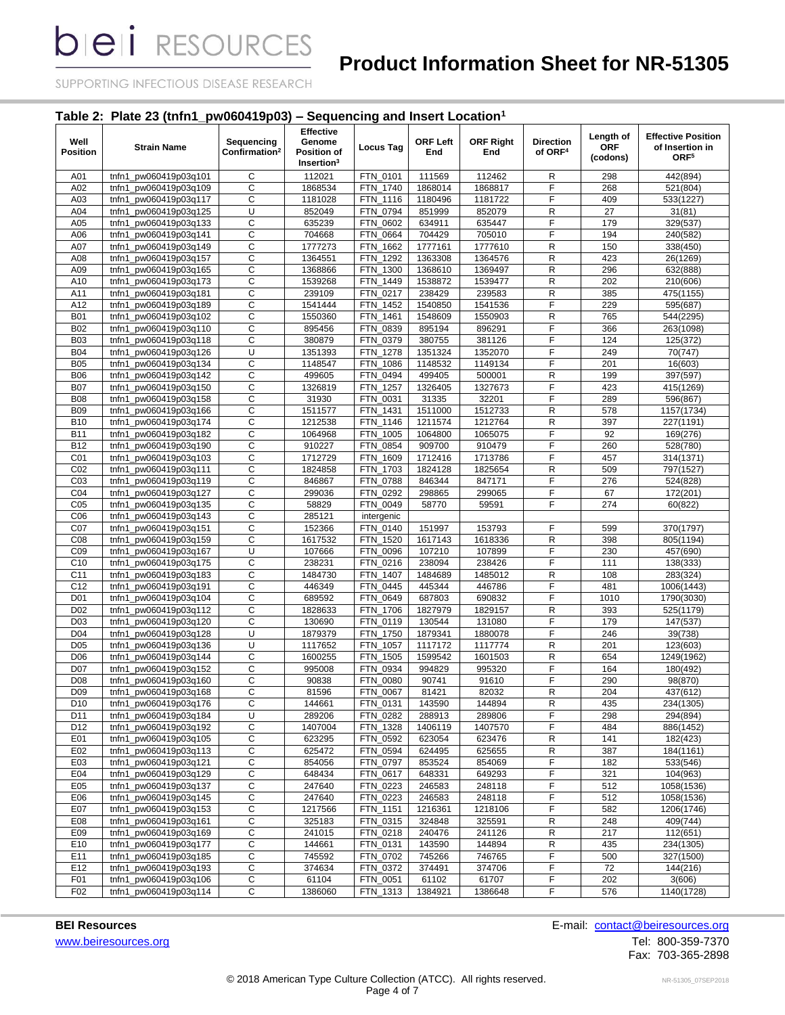# **Product Information Sheet for NR-51305**

SUPPORTING INFECTIOUS DISEASE RESEARCH

### **Table 2: Plate 23 (tnfn1\_pw060419p03) – Sequencing and Insert Location<sup>1</sup>**

| Well<br>Position                   | <b>Strain Name</b>                             | Sequencing<br>Confirmation <sup>2</sup> | <b>Effective</b><br>Genome<br>Position of<br>Insertion <sup>3</sup> | Locus Tag            | <b>ORF Left</b><br>End | <b>ORF Right</b><br>End | <b>Direction</b><br>of ORF <sup>4</sup> | Length of<br><b>ORF</b><br>(codons) | <b>Effective Position</b><br>of Insertion in<br>ORF <sup>5</sup> |
|------------------------------------|------------------------------------------------|-----------------------------------------|---------------------------------------------------------------------|----------------------|------------------------|-------------------------|-----------------------------------------|-------------------------------------|------------------------------------------------------------------|
| A01                                | tnfn1 pw060419p03q101                          | С                                       | 112021                                                              | FTN_0101             | 111569                 | 112462                  | R                                       | 298                                 | 442(894)                                                         |
| A02                                | tnfn1_pw060419p03q109                          | C                                       | 1868534                                                             | FTN 1740             | 1868014                | 1868817                 | F                                       | 268                                 | 521(804)                                                         |
| A03                                | tnfn1_pw060419p03q117                          | С                                       | 1181028                                                             | FTN_1116             | 1180496                | 1181722                 | F                                       | 409                                 | 533(1227)                                                        |
| A04                                | tnfn1<br>pw060419p03q125                       | U                                       | 852049                                                              | FTN 0794             | 851999                 | 852079                  | ${\sf R}$                               | 27                                  | 31(81)                                                           |
| A05                                | tnfn1<br>pw060419p03q133                       | C                                       | 635239                                                              | FTN_0602             | 634911                 | 635447                  | F                                       | 179                                 | 329(537)                                                         |
| A06                                | tnfn1<br>pw060419p03q141_                      | C                                       | 704668                                                              | FTN_0664             | 704429                 | 705010                  | F                                       | 194                                 | 240(582)                                                         |
| A07                                | pw060419p03q149<br>tnfn1                       | С                                       | 1777273                                                             | FTN 1662             | 1777161                | 1777610                 | ${\sf R}$                               | 150                                 | 338(450)                                                         |
| A08                                | tnfn1<br>pw060419p03q157                       | C                                       | 1364551                                                             | FTN_1292             | 1363308                | 1364576                 | $\mathsf{R}$                            | 423                                 | 26(1269)                                                         |
| A09                                | pw060419p03q165<br>tnfn1                       | С                                       | 1368866                                                             | FTN 1300             | 1368610                | 1369497                 | $\mathsf{R}$                            | 296                                 | 632(888)                                                         |
| A10                                | tnfn1_pw060419p03q173                          | C                                       | 1539268                                                             | FTN 1449             | 1538872                | 1539477                 | $\mathsf{R}$                            | 202                                 | 210(606)                                                         |
| A11                                | tnfn1<br>pw060419p03q181                       | C                                       | 239109                                                              | FTN 0217             | 238429                 | 239583                  | $\mathsf R$                             | 385                                 | 475(1155)                                                        |
| A12                                | pw060419p03q189<br>tnfn1                       | C                                       | 1541444                                                             | FTN_1452             | 1540850                | 1541536                 | F                                       | 229                                 | 595(687)                                                         |
| <b>B01</b>                         | pw060419p03q102<br>tnfn1                       | С                                       | 1550360                                                             | FTN_1461             | 1548609                | 1550903                 | R                                       | 765                                 | 544(2295)                                                        |
| <b>B02</b>                         | pw060419p03q110<br>tnfn1                       | C                                       | 895456                                                              | FTN_0839             | 895194                 | 896291                  | F                                       | 366                                 | 263(1098)                                                        |
| <b>B03</b>                         | tnfn1<br>pw060419p03q118                       | C                                       | 380879                                                              | FTN_0379             | 380755                 | 381126                  | F                                       | 124                                 | 125(372)                                                         |
| <b>B04</b>                         | pw060419p03q126<br>tnfn1                       | U                                       | 1351393                                                             | FTN_1278             | 1351324                | 1352070                 | F                                       | 249                                 | 70(747)                                                          |
| <b>B05</b>                         | pw060419p03q134<br>tnfn1                       | C                                       | 1148547                                                             | FTN 1086             | 1148532                | 1149134                 | F                                       | 201                                 | 16(603)                                                          |
| <b>B06</b>                         | pw060419p03q142<br>tnfn1                       | С                                       | 499605                                                              | FTN_0494             | 499405                 | 500001                  | R                                       | 199                                 | 397(597)                                                         |
| <b>B07</b>                         | tnfn1<br>pw060419p03q150                       | C                                       | 1326819                                                             | FTN 1257             | 1326405                | 1327673                 | F                                       | 423                                 | 415(1269)                                                        |
| <b>B08</b>                         | tnfn1_pw060419p03q158                          | C                                       | 31930                                                               | FTN_0031             | 31335                  | 32201                   | F                                       | 289                                 | 596(867)                                                         |
| <b>B09</b>                         | tnfn1_pw060419p03q166                          | C                                       | 1511577                                                             | FTN 1431             | 1511000                | 1512733                 | ${\sf R}$                               | 578                                 | 1157(1734)                                                       |
| <b>B10</b>                         | pw060419p03q174<br>tnfn1                       | C                                       | 1212538                                                             | FTN_1146             | 1211574                | 1212764                 | ${\sf R}$                               | 397                                 | 227(1191)                                                        |
| <b>B11</b>                         | pw060419p03q182<br>tnfn1                       | C                                       | 1064968                                                             | FTN_1005             | 1064800                | 1065075                 | F                                       | 92                                  | 169(276)                                                         |
| <b>B12</b>                         | tnfn1<br>pw060419p03q190                       | C<br>C                                  | 910227                                                              | FTN_0854             | 909700                 | 910479                  | F<br>F                                  | 260                                 | 528(780)                                                         |
| CO <sub>1</sub>                    | tnfn1_pw060419p03q103                          |                                         | 1712729                                                             | FTN_1609             | 1712416                | 1713786                 |                                         | 457<br>509                          | 314(1371)                                                        |
| CO <sub>2</sub>                    | tnfn1<br>pw060419p03q111                       | C                                       | 1824858                                                             | FTN_1703             | 1824128                | 1825654                 | $\mathsf R$<br>F                        |                                     | 797(1527)                                                        |
| CO <sub>3</sub><br>C <sub>04</sub> | pw060419p03q119<br>tnfn1<br>tnfn1              | C<br>С                                  | 846867                                                              | FTN_0788<br>FTN 0292 | 846344<br>298865       | 847171<br>299065        | F                                       | 276<br>67                           | 524(828)                                                         |
| CO <sub>5</sub>                    | pw060419p03q127<br>pw060419p03q135<br>tnfn1    | C                                       | 299036<br>58829                                                     | FTN 0049             | 58770                  | 59591                   | $\overline{F}$                          | 274                                 | 172(201)<br>60(822)                                              |
| C <sub>06</sub>                    | tnfn1<br>pw060419p03q143                       | C                                       | 285121                                                              | intergenic           |                        |                         |                                         |                                     |                                                                  |
| C07                                | pw060419p03q151<br>tnfn1                       | C                                       | 152366                                                              | FTN_0140             | 151997                 | 153793                  | F                                       | 599                                 | 370(1797)                                                        |
| C <sub>08</sub>                    | pw060419p03q159<br>tnfn1                       | C                                       | 1617532                                                             | FTN_1520             | 1617143                | 1618336                 | R                                       | 398                                 | 805(1194)                                                        |
| CO <sub>9</sub>                    | pw060419p03q167<br>tnfn1                       | U                                       | 107666                                                              | FTN_0096             | 107210                 | 107899                  | F                                       | 230                                 | 457(690)                                                         |
| C10                                | pw060419p03q175<br>tnfn1                       | С                                       | 238231                                                              | FTN_0216             | 238094                 | 238426                  | F                                       | 111                                 | 138(333)                                                         |
| C <sub>11</sub>                    | tnfn1_pw060419p03q183                          | C                                       | 1484730                                                             | FTN_1407             | 1484689                | 1485012                 | R                                       | 108                                 | 283(324)                                                         |
| C <sub>12</sub>                    | tnfn1_pw060419p03q191                          | C                                       | 446349                                                              | FTN 0445             | 445344                 | 446786                  | F                                       | 481                                 | 1006(1443)                                                       |
| D <sub>01</sub>                    | pw060419p03q104<br>tnfn1                       | С                                       | 689592                                                              | FTN 0649             | 687803                 | 690832                  | F                                       | 1010                                | 1790(3030)                                                       |
| D <sub>02</sub>                    | pw060419p03q112<br>tnfn1                       | C                                       | 1828633                                                             | FTN_1706             | 1827979                | 1829157                 | R                                       | 393                                 | 525(1179)                                                        |
| D <sub>03</sub>                    | pw060419p03q120<br>tnfn1                       | C                                       | 130690                                                              | FTN_0119             | 130544                 | 131080                  | F                                       | 179                                 | 147(537)                                                         |
| D <sub>04</sub>                    | pw060419p03q128<br>tnfn1                       | U                                       | 1879379                                                             | FTN 1750             | 1879341                | 1880078                 | F                                       | 246                                 | 39(738)                                                          |
| D <sub>05</sub>                    | tnfn1_pw060419p03q136                          | U                                       | 1117652                                                             | FTN_1057             | 1117172                | 1117774                 | ${\sf R}$                               | 201                                 | 123(603)                                                         |
| D <sub>06</sub>                    | tnfn1 pw060419p03q144                          | C                                       | 1600255                                                             | FTN_1505             | 1599542                | 1601503                 | $\mathsf R$                             | 654                                 | 1249(1962)                                                       |
| <b>D07</b>                         | tnfn1_pw060419p03q152                          | С                                       | 995008                                                              | FTN_0934             | 994829                 | 995320                  | F                                       | 164                                 | 180(492)                                                         |
| D <sub>08</sub>                    | tnfn1_pw060419p03q160                          | C                                       | 90838                                                               | FTN 0080             | 90741                  | 91610                   | F                                       | 290                                 | 98(870)                                                          |
| D <sub>09</sub>                    | tnfn1 pw060419p03q168                          | C                                       | 81596                                                               | FTN 0067             | 81421                  | 82032                   | $\mathsf R$                             | 204                                 | 437(612)                                                         |
| D <sub>10</sub>                    | tnfn1_pw060419p03q176                          | C                                       | 144661                                                              | FTN_0131             | 143590                 | 144894                  | R                                       | 435                                 | 234(1305)                                                        |
| D11                                | tnfn1 pw060419p03q184                          | U                                       | 289206                                                              | FTN_0282             | 288913                 | 289806                  | $\overline{F}$                          | 298                                 | 294(894)                                                         |
| D12                                | tnfn1 pw060419p03q192                          | $\mathsf C$                             | 1407004                                                             | FTN_1328             | 1406119                | 1407570                 | F                                       | 484                                 | 886(1452)                                                        |
| E01                                | tnfn1 pw060419p03q105                          | $\mathsf C$                             | 623295                                                              | FTN_0592             | 623054                 | 623476                  | R                                       | 141                                 | 182(423)                                                         |
| E02                                | tnfn1_pw060419p03q113                          | $\mathsf C$                             | 625472                                                              | FTN_0594             | 624495                 | 625655                  | ${\sf R}$                               | 387                                 | 184(1161)                                                        |
| E03                                | tnfn1_pw060419p03q121                          | С                                       | 854056                                                              | FTN_0797             | 853524                 | 854069                  | F                                       | 182                                 | 533(546)                                                         |
| E04                                | tnfn1 pw060419p03q129                          | C                                       | 648434                                                              | FTN_0617             | 648331                 | 649293                  | F                                       | 321                                 | 104(963)                                                         |
| E05                                | tnfn1_pw060419p03q137                          | С                                       | 247640                                                              | FTN_0223             | 246583                 | 248118                  | F                                       | 512                                 | 1058(1536)                                                       |
| E06                                | tnfn1_pw060419p03q145                          | C                                       | 247640                                                              | FTN_0223             | 246583                 | 248118                  | F                                       | 512                                 | 1058(1536)                                                       |
| E07                                | tnfn1 pw060419p03q153                          | C                                       | 1217566                                                             | FTN_1151             | 1216361                | 1218106                 | F                                       | 582                                 | 1206(1746)                                                       |
| E08                                | tnfn1_pw060419p03q161                          | $\overline{c}$                          | 325183                                                              | FTN_0315             | 324848                 | 325591                  | R                                       | 248                                 | 409(744)                                                         |
| E09                                | tnfn1_pw060419p03q169                          | $\mathsf C$                             | 241015                                                              | FTN_0218             | 240476                 | 241126                  | R                                       | 217                                 | 112(651)                                                         |
| E10                                | tnfn1_pw060419p03q177                          | C                                       | 144661<br>745592                                                    | FTN 0131<br>FTN 0702 | 143590                 | 144894<br>746765        | R<br>F                                  | 435                                 | 234(1305)                                                        |
| E11<br>E12                         | tnfn1_pw060419p03q185                          | $\overline{C}$                          |                                                                     |                      | 745266                 |                         |                                         | 500                                 | 327(1500)                                                        |
| F <sub>01</sub>                    | tnfn1_pw060419p03q193<br>tnfn1_pw060419p03q106 | $\mathsf C$<br>С                        | 374634<br>61104                                                     | FTN_0372<br>FTN_0051 | 374491<br>61102        | 374706<br>61707         | F<br>F                                  | $72\,$<br>202                       | 144(216)<br>3(606)                                               |
| F02                                | tnfn1_pw060419p03q114                          | С                                       | 1386060                                                             | FTN_1313             | 1384921                | 1386648                 | F                                       | 576                                 | 1140(1728)                                                       |
|                                    |                                                |                                         |                                                                     |                      |                        |                         |                                         |                                     |                                                                  |

[www.beiresources.org](http://www.beiresources.org/)Tel: 800-359-7370

**BEI Resources** E-mail: **contact@beiresources.org** 

Fax: 703-365-2898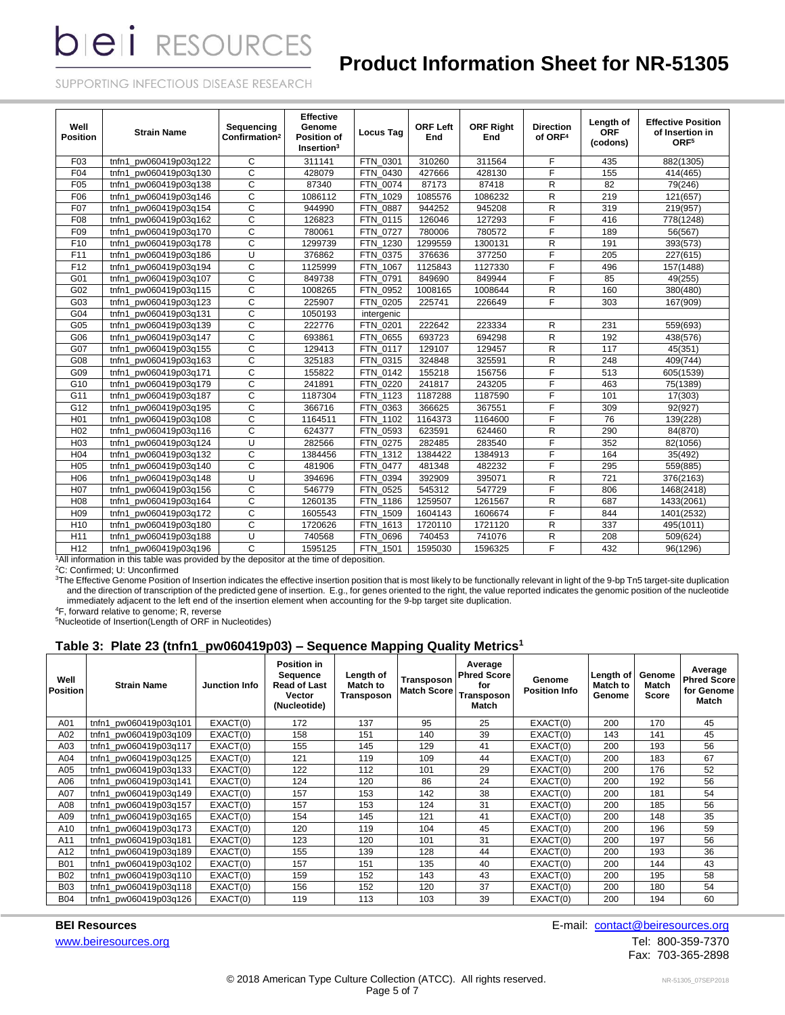## **Product Information Sheet for NR-51305**

SUPPORTING INFECTIOUS DISEASE RESEARCH

| Well<br><b>Position</b>   | <b>Strain Name</b>                             | Sequencing<br>Confirmation <sup>2</sup>                  | <b>Effective</b><br>Genome<br>Position of<br>Insertion <sup>3</sup> | <b>Locus Tag</b>   | <b>ORF Left</b><br>End | <b>ORF Right</b><br>End | <b>Direction</b><br>of ORF <sup>4</sup> | Length of<br><b>ORF</b><br>(codons) | <b>Effective Position</b><br>of Insertion in<br>ORF <sup>5</sup> |
|---------------------------|------------------------------------------------|----------------------------------------------------------|---------------------------------------------------------------------|--------------------|------------------------|-------------------------|-----------------------------------------|-------------------------------------|------------------------------------------------------------------|
| F <sub>03</sub>           | pw060419p03q122<br>tnfn1                       | C                                                        | 311141                                                              | FTN 0301           | 310260                 | 311564                  | F                                       | 435                                 | 882(1305)                                                        |
| F04                       | pw060419p03q130<br>tnfn1                       | C                                                        | 428079                                                              | FTN 0430           | 427666                 | 428130                  | F                                       | 155                                 | 414(465)                                                         |
| F <sub>05</sub>           | tnfn1 pw060419p03q138                          | C                                                        | 87340                                                               | FTN 0074           | 87173                  | 87418                   | R                                       | 82                                  | 79(246)                                                          |
| F06                       | tnfn1<br>pw060419p03q146                       | C                                                        | 1086112                                                             | FTN 1029           | 1085576                | 1086232                 | R                                       | 219                                 | 121(657)                                                         |
| F07                       | pw060419p03q154<br>tnfn1                       | $\mathsf{C}$                                             | 944990                                                              | <b>FTN 0887</b>    | 944252                 | 945208                  | R                                       | 319                                 | 219(957)                                                         |
| F08                       | tnfn1<br>pw060419p03q162                       | C                                                        | 126823                                                              | FTN 0115           | 126046                 | 127293                  | F                                       | 416                                 | 778(1248)                                                        |
| F09                       | tnfn1<br>pw060419p03q170                       | $\mathsf{C}$                                             | 780061                                                              | FTN 0727           | 780006                 | 780572                  | E                                       | 189                                 | 56(567)                                                          |
| F <sub>10</sub>           | pw060419p03q178<br>tnfn1                       | $\mathsf{C}$                                             | 1299739                                                             | FTN 1230           | 1299559                | 1300131                 | R                                       | 191                                 | 393(573)                                                         |
| F11                       | pw060419p03q186<br>tnfn1                       | U                                                        | 376862                                                              | FTN 0375           | 376636                 | 377250                  | $\overline{F}$                          | 205                                 | 227(615)                                                         |
| F <sub>12</sub>           | tnfn1 pw060419p03q194                          | C                                                        | 1125999                                                             | FTN 1067           | 1125843                | 1127330                 | F                                       | 496                                 | 157(1488)                                                        |
| G01                       | tnfn1 pw060419p03q107                          | $\mathsf{C}$                                             | 849738                                                              | FTN 0791           | 849690                 | 849944                  | E                                       | 85                                  | 49(255)                                                          |
| G02                       | pw060419p03q115<br>tnfn1                       | $\mathsf{C}$                                             | 1008265                                                             | FTN 0952           | 1008165                | 1008644                 | R                                       | 160                                 | 380(480)                                                         |
| G03                       | pw060419p03q123<br>tnfn1                       | $\overline{c}$                                           | 225907                                                              | FTN 0205           | 225741                 | 226649                  | F                                       | 303                                 | 167(909)                                                         |
| G04                       | tnfn1<br>pw060419p03q131                       | C                                                        | 1050193                                                             | intergenic         |                        |                         |                                         |                                     |                                                                  |
| G05                       | pw060419p03q139<br>tnfn1                       | $\overline{c}$                                           | 222776                                                              | FTN 0201           | 222642                 | 223334                  | R                                       | 231                                 | 559(693)                                                         |
| G06                       | pw060419p03q147<br>tnfn1                       | $\mathbf C$                                              | 693861                                                              | FTN 0655           | 693723                 | 694298                  | R                                       | 192                                 | 438(576)                                                         |
| G07                       | tnfn1 pw060419p03q155                          | C                                                        | 129413                                                              | FTN 0117           | 129107                 | 129457                  | R                                       | 117                                 | 45(351)                                                          |
| G08                       | tnfn1 pw060419p03q163                          | C                                                        | 325183                                                              | FTN 0315           | 324848                 | 325591                  | R                                       | 248                                 | 409(744)                                                         |
| G09                       | pw060419p03q171<br>tnfn1                       | C                                                        | 155822                                                              | FTN 0142           | 155218                 | 156756                  | $\overline{F}$                          | 513                                 | 605(1539)                                                        |
| G10                       | pw060419p03q179<br>tnfn1                       | $\mathsf{C}$                                             | 241891                                                              | FTN 0220           | 241817                 | 243205                  | F                                       | 463                                 | 75(1389)                                                         |
| G11                       | tnfn1<br>pw060419p03q187                       | $\mathsf{C}$                                             | 1187304                                                             | <b>FTN 1123</b>    | 1187288                | 1187590                 | F                                       | 101                                 | 17(303)                                                          |
| G12                       | pw060419p03q195<br>tnfn1                       | C                                                        | 366716                                                              | FTN 0363           | 366625                 | 367551                  | F                                       | 309                                 | 92(927)                                                          |
| H <sub>01</sub>           | pw060419p03q108<br>tnfn1                       | $\overline{c}$                                           | 1164511                                                             | FTN 1102           | 1164373                | 1164600                 | F                                       | 76                                  | 139(228)                                                         |
| H <sub>02</sub>           | tnfn1 pw060419p03q116                          | C                                                        | 624377                                                              | FTN 0593           | 623591                 | 624460                  | R                                       | 290                                 | 84(870)                                                          |
| H <sub>03</sub>           | tnfn1 pw060419p03q124                          | U                                                        | 282566                                                              | FTN 0275           | 282485                 | 283540                  | F                                       | 352                                 | 82(1056)                                                         |
| H <sub>04</sub>           | pw060419p03q132<br>tnfn1                       | C                                                        | 1384456                                                             | <b>FTN</b><br>1312 | 1384422                | 1384913                 | F                                       | 164                                 | 35(492)                                                          |
| H <sub>05</sub>           | pw060419p03q140<br>tnfn1                       | $\mathsf{C}$                                             | 481906                                                              | FTN 0477           | 481348                 | 482232                  | F                                       | 295                                 | 559(885)                                                         |
| H <sub>06</sub>           | pw060419p03q148<br>tnfn1                       | U                                                        | 394696                                                              | FTN_0394           | 392909                 | 395071                  | R                                       | 721                                 | 376(2163)                                                        |
| H07                       | tnfn1<br>pw060419p03q156                       | C                                                        | 546779                                                              | <b>FTN</b><br>0525 | 545312                 | 547729                  | F                                       | 806                                 | 1468(2418)                                                       |
| H <sub>08</sub>           | pw060419p03q164<br>tnfn1                       | $\mathsf{C}$                                             | 1260135                                                             | <b>FTN</b><br>1186 | 1259507                | 1261567                 | R                                       | 687                                 | 1433(2061)                                                       |
| H <sub>09</sub>           | pw060419p03q172<br>tnfn1                       | C                                                        | 1605543                                                             | FTN 1509           | 1604143                | 1606674                 | F                                       | 844                                 | 1401(2532)                                                       |
| H <sub>10</sub>           | tnfn1_pw060419p03q180                          | C                                                        | 1720626                                                             | FTN 1613           | 1720110                | 1721120                 | R                                       | 337                                 | 495(1011)                                                        |
| H11                       | tnfn1<br>pw060419p03q188                       | U                                                        | 740568                                                              | FTN 0696           | 740453                 | 741076                  | R                                       | 208                                 | 509(624)                                                         |
| H <sub>12</sub><br>1.3.64 | tnfn1 pw060419p03q196<br>the late to calculate | $\mathsf{C}$<br>$\overline{a}$<br>strategies to a state. | 1595125<br>$-1$                                                     | <b>FTN</b><br>1501 | 1595030                | 1596325                 | F                                       | 432                                 | 96(1296)                                                         |

<sup>1</sup>All information in this table was provided by the depositor at the time of deposition.

<sup>2</sup>C: Confirmed; U: Unconfirmed

<sup>3</sup>The Effective Genome Position of Insertion indicates the effective insertion position that is most likely to be functionally relevant in light of the 9-bp Tn5 target-site duplication and the direction of transcription of the predicted gene of insertion. E.g., for genes oriented to the right, the value reported indicates the genomic position of the nucleotide immediately adjacent to the left end of the insertion element when accounting for the 9-bp target site duplication.

<sup>4</sup>F, forward relative to genome; R, reverse

<sup>5</sup>Nucleotide of Insertion(Length of ORF in Nucleotides)

#### **Table 3: Plate 23 (tnfn1\_pw060419p03) – Sequence Mapping Quality Metrics<sup>1</sup>**

| Well<br><b>Position</b> | <b>Strain Name</b>    | <b>Junction Info</b> | Position in<br>Sequence<br><b>Read of Last</b><br><b>Vector</b><br>(Nucleotide) | Length of<br>Match to<br>Transposon | Transposon<br><b>Match Score</b> | Average<br><b>Phred Score</b><br>for<br>Transposon<br>Match | Genome<br><b>Position Info</b> | Length of<br><b>Match to</b><br>Genome | Genome<br>Match<br>Score | Average<br><b>Phred Score</b><br>for Genome<br>Match |
|-------------------------|-----------------------|----------------------|---------------------------------------------------------------------------------|-------------------------------------|----------------------------------|-------------------------------------------------------------|--------------------------------|----------------------------------------|--------------------------|------------------------------------------------------|
| A01                     | tnfn1_pw060419p03q101 | EXACT(0)             | 172                                                                             | 137                                 | 95                               | 25                                                          | EXACT(0)                       | 200                                    | 170                      | 45                                                   |
| A02                     | tnfn1 pw060419p03q109 | EXACT(0)             | 158                                                                             | 151                                 | 140                              | 39                                                          | EXACT(0)                       | 143                                    | 141                      | 45                                                   |
| A03                     | tnfn1 pw060419p03q117 | EXACT(0)             | 155                                                                             | 145                                 | 129                              | 41                                                          | EXACT(0)                       | 200                                    | 193                      | 56                                                   |
| A04                     | tnfn1 pw060419p03q125 | EXACT(0)             | 121                                                                             | 119                                 | 109                              | 44                                                          | EXACT(0)                       | 200                                    | 183                      | 67                                                   |
| A05                     | tnfn1 pw060419p03q133 | EXACT(0)             | 122                                                                             | 112                                 | 101                              | 29                                                          | EXACT(0)                       | 200                                    | 176                      | 52                                                   |
| A06                     | tnfn1 pw060419p03q141 | EXACT(0)             | 124                                                                             | 120                                 | 86                               | 24                                                          | EXACT(0)                       | 200                                    | 192                      | 56                                                   |
| A07                     | tnfn1 pw060419p03q149 | EXACT(0)             | 157                                                                             | 153                                 | 142                              | 38                                                          | EXACT(0)                       | 200                                    | 181                      | 54                                                   |
| A08                     | tnfn1 pw060419p03q157 | EXACT(0)             | 157                                                                             | 153                                 | 124                              | 31                                                          | EXACT(0)                       | 200                                    | 185                      | 56                                                   |
| A09                     | tnfn1 pw060419p03q165 | EXACT(0)             | 154                                                                             | 145                                 | 121                              | 41                                                          | EXACT(0)                       | 200                                    | 148                      | 35                                                   |
| A <sub>10</sub>         | tnfn1 pw060419p03q173 | EXACT(0)             | 120                                                                             | 119                                 | 104                              | 45                                                          | EXACT(0)                       | 200                                    | 196                      | 59                                                   |
| A11                     | tnfn1 pw060419p03q181 | EXACT(0)             | 123                                                                             | 120                                 | 101                              | 31                                                          | EXACT(0)                       | 200                                    | 197                      | 56                                                   |
| A <sub>12</sub>         | tnfn1 pw060419p03q189 | EXACT(0)             | 155                                                                             | 139                                 | 128                              | 44                                                          | EXACT(0)                       | 200                                    | 193                      | 36                                                   |
| <b>B01</b>              | tnfn1 pw060419p03q102 | EXACT(0)             | 157                                                                             | 151                                 | 135                              | 40                                                          | EXACT(0)                       | 200                                    | 144                      | 43                                                   |
| <b>B02</b>              | tnfn1 pw060419p03q110 | EXACT(0)             | 159                                                                             | 152                                 | 143                              | 43                                                          | EXACT(0)                       | 200                                    | 195                      | 58                                                   |
| <b>B03</b>              | tnfn1 pw060419p03q118 | EXACT(0)             | 156                                                                             | 152                                 | 120                              | 37                                                          | EXACT(0)                       | 200                                    | 180                      | 54                                                   |
| <b>B04</b>              | tnfn1 pw060419p03q126 | EXACT(0)             | 119                                                                             | 113                                 | 103                              | 39                                                          | EXACT(0)                       | 200                                    | 194                      | 60                                                   |

[www.beiresources.org](http://www.beiresources.org/)Tel: 800-359-7370

**BEI Resources** E-mail: [contact@beiresources.org](mailto:contact@beiresources.org)

Fax: 703-365-2898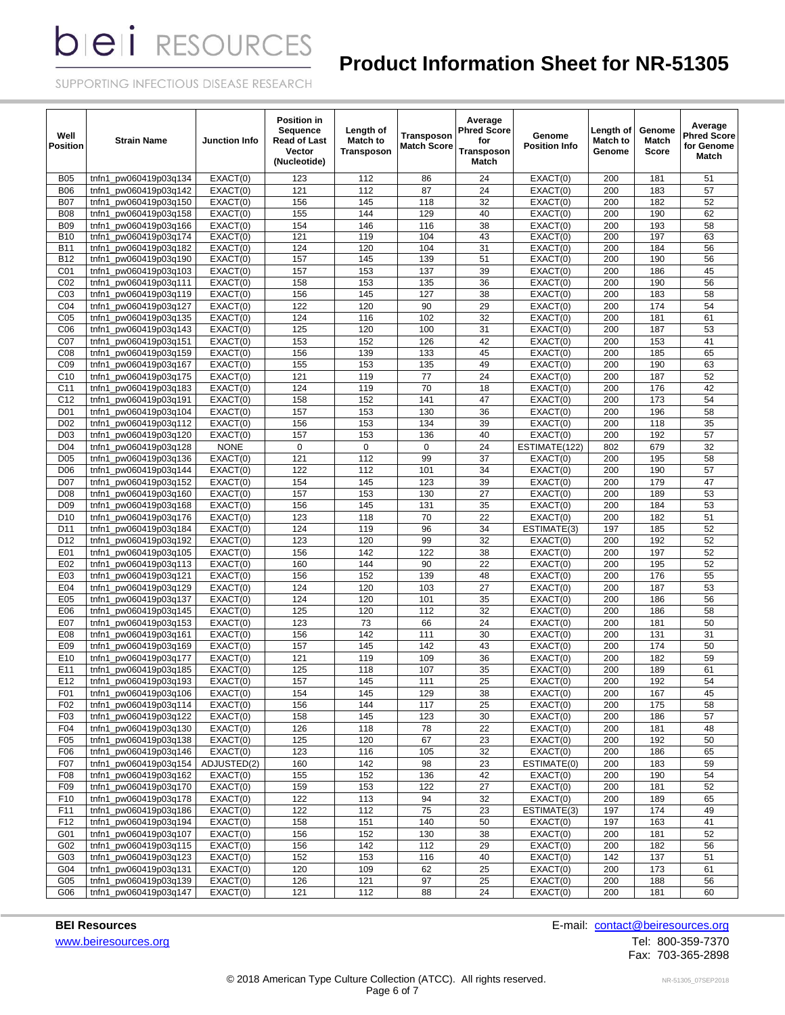# **Product Information Sheet for NR-51305**

SUPPORTING INFECTIOUS DISEASE RESEARCH

| Well<br><b>Position</b> | <b>Strain Name</b>                             | Junction Info                  | <b>Position in</b><br>Sequence<br>Read of Last<br>Vector<br>(Nucleotide) | Length of<br><b>Match to</b><br>Transposon | <b>Transposon</b><br><b>Match Score</b> | Average<br><b>Phred Score</b><br>for<br>Transposon<br>Match | Genome<br><b>Position Info</b> | Length of<br><b>Match to</b><br>Genome | Genome<br>Match<br>Score | Average<br><b>Phred Score</b><br>for Genome<br>Match |
|-------------------------|------------------------------------------------|--------------------------------|--------------------------------------------------------------------------|--------------------------------------------|-----------------------------------------|-------------------------------------------------------------|--------------------------------|----------------------------------------|--------------------------|------------------------------------------------------|
| <b>B05</b>              | pw060419p03q134<br>tnfn1                       | EXACT(0)                       | 123                                                                      | 112                                        | 86                                      | 24                                                          | EXACT(0)                       | 200                                    | 181                      | 51                                                   |
| <b>B06</b>              | tnfn1<br>pw060419p03q142                       | EXACT(0)                       | 121                                                                      | 112                                        | 87                                      | 24                                                          | EXACT(0)                       | 200                                    | 183                      | 57                                                   |
| <b>B07</b>              | pw060419p03q150<br>tnfn1                       | $\overline{\text{EXACT}}(0)$   | 156                                                                      | 145                                        | 118                                     | 32                                                          | EXACT(0)                       | 200                                    | 182                      | 52                                                   |
| <b>B08</b>              | pw060419p03q158<br>tnfn1                       | EXACT(0)                       | 155                                                                      | 144                                        | 129                                     | 40                                                          | EXACT(0)                       | 200                                    | 190                      | 62                                                   |
| <b>B09</b>              | tnfn1 pw060419p03q166                          | EXACT(0)                       | 154                                                                      | 146                                        | 116                                     | 38                                                          | EXACT(0)                       | 200                                    | 193                      | 58                                                   |
| <b>B10</b>              | pw060419p03q174<br>tnfn1                       | EXACT(0)                       | 121                                                                      | 119                                        | 104                                     | 43                                                          | EXACT(0)                       | 200                                    | 197                      | 63                                                   |
| <b>B11</b>              | tnfn1<br>pw060419p03q182                       | EXACT(0)                       | 124                                                                      | 120                                        | 104                                     | 31                                                          | EXACT(0)                       | 200                                    | 184                      | 56                                                   |
| <b>B12</b>              | tnfn1<br>pw060419p03q190                       | EXACT(0)                       | 157                                                                      | 145                                        | 139                                     | 51                                                          | EXACT(0)                       | 200                                    | 190                      | 56                                                   |
| C <sub>01</sub>         | tnfn1<br>pw060419p03q103                       | EXACT(0)                       | 157                                                                      | 153                                        | 137                                     | 39                                                          | EXACT(0)                       | 200                                    | 186                      | 45                                                   |
| CO <sub>2</sub>         | tnfn1<br>pw060419p03q111                       | EXACT(0)                       | 158                                                                      | 153                                        | 135                                     | 36                                                          | EXACT(0)                       | 200                                    | 190                      | 56                                                   |
| CO <sub>3</sub>         | tnfn1<br>pw060419p03q119                       | EXACT(0)                       | 156                                                                      | 145                                        | 127                                     | 38                                                          | EXACT(0)                       | 200                                    | 183                      | 58                                                   |
| CO <sub>4</sub>         | pw060419p03q127<br>tnfn1                       | EXACT(0)                       | 122                                                                      | 120                                        | 90                                      | 29                                                          | EXACT(0)                       | 200                                    | 174                      | 54                                                   |
| C <sub>05</sub>         | tnfn1_pw060419p03q135                          | EXACT(0)                       | 124                                                                      | 116                                        | 102                                     | 32                                                          | EXACT(0)                       | 200                                    | 181                      | 61                                                   |
| CO6                     | pw060419p03q143<br>tnfn1                       | EXACT(0)                       | 125                                                                      | 120                                        | 100                                     | 31                                                          | EXACT(0)                       | 200                                    | 187                      | 53                                                   |
| C07                     | tnfn1_pw060419p03q151                          | EXACT(0)                       | 153                                                                      | 152                                        | 126                                     | 42                                                          | EXACT(0)                       | 200                                    | 153                      | 41                                                   |
| CO8                     | pw060419p03q159<br>tnfn1                       | EXACT(0)                       | 156                                                                      | 139                                        | 133                                     | 45                                                          | EXACT(0)                       | 200                                    | 185                      | 65                                                   |
| CO9                     | pw060419p03q167<br>tnfn1                       | EXACT(0)                       | 155                                                                      | 153                                        | 135                                     | 49                                                          | EXACT(0)                       | 200                                    | 190                      | 63                                                   |
| C <sub>10</sub>         | pw060419p03q175<br>tnfn1                       | EXACT(0)                       | 121                                                                      | 119                                        | 77                                      | 24                                                          | EXACT(0)                       | 200                                    | 187                      | 52                                                   |
| C <sub>11</sub>         | tnfn1<br>pw060419p03q183                       | EXACT(0)                       | 124                                                                      | 119                                        | 70                                      | 18                                                          | EXACT(0)                       | 200                                    | 176                      | 42                                                   |
| C12                     | pw060419p03q191<br>tnfn1                       | EXACT(0)                       | 158                                                                      | 152                                        | 141                                     | 47                                                          | EXACT(0)                       | 200                                    | 173                      | 54                                                   |
| D <sub>01</sub>         | pw060419p03q104<br>tnfn1                       | EXACT(0)                       | 157                                                                      | 153                                        | 130                                     | 36                                                          | EXACT(0)                       | 200                                    | 196                      | 58                                                   |
| D <sub>02</sub>         | pw060419p03q112<br>tnfn1                       | EXACT(0)                       | 156                                                                      | 153                                        | 134                                     | 39                                                          | EXACT(0)                       | 200                                    | 118                      | 35                                                   |
| D <sub>03</sub>         | pw060419p03q120<br>tnfn1                       | EXACT(0)                       | 157                                                                      | 153                                        | 136                                     | 40                                                          | EXACT(0)                       | 200                                    | 192                      | 57                                                   |
| D <sub>04</sub>         | pw060419p03q128<br>tnfn1                       | <b>NONE</b>                    | $\mathbf 0$                                                              | $\pmb{0}$                                  | 0                                       | 24                                                          | ESTIMATE(122)                  | 802                                    | 679                      | 32                                                   |
| D <sub>05</sub>         | pw060419p03g136<br>tnfn1                       | EXACT(0)                       | 121                                                                      | 112                                        | 99                                      | 37                                                          | EXACT(0)                       | 200                                    | 195                      | 58                                                   |
| D <sub>06</sub>         | tnfn1<br>pw060419p03q144                       | EXACT(0)                       | 122                                                                      | 112                                        | 101                                     | 34                                                          | EXACT(0)                       | 200                                    | 190                      | 57                                                   |
| D07                     | tnfn1<br>pw060419p03q152                       | EXACT(0)                       | 154                                                                      | 145                                        | 123                                     | 39                                                          | EXACT(0)                       | 200                                    | 179                      | 47                                                   |
| D <sub>08</sub>         | tnfn1<br>pw060419p03q160                       | EXACT(0)                       | 157                                                                      | 153                                        | 130                                     | 27                                                          | EXACT(0)                       | 200                                    | 189                      | 53                                                   |
| D <sub>09</sub>         | tnfn1<br>pw060419p03q168                       | EXACT(0)                       | 156                                                                      | 145                                        | 131                                     | 35                                                          | EXACT(0)                       | 200                                    | 184                      | 53                                                   |
| D <sub>10</sub>         | tnfn1_pw060419p03q176                          | EXACT(0)                       | 123                                                                      | 118                                        | 70                                      | 22                                                          | EXACT(0)                       | 200                                    | 182                      | 51                                                   |
| D <sub>11</sub>         | pw060419p03q184<br>tnfn1                       | EXACT(0)                       | 124                                                                      | 119                                        | 96                                      | 34                                                          | ESTIMATE(3)                    | 197                                    | 185                      | 52                                                   |
| D <sub>12</sub>         | tnfn1_pw060419p03q192                          | EXACT(0)                       | 123                                                                      | 120                                        | 99                                      | 32                                                          | EXACT(0)                       | 200                                    | 192                      | 52                                                   |
| E01                     | pw060419p03q105<br>tnfn1                       | EXACT(0)                       | 156                                                                      | 142                                        | 122                                     | 38                                                          | EXACT(0)                       | 200                                    | 197                      | 52                                                   |
| E02                     | pw060419p03q113<br>tnfn1                       | EXACT(0)                       | 160                                                                      | 144                                        | 90                                      | 22                                                          | EXACT(0)                       | 200                                    | 195                      | 52                                                   |
| E03                     | pw060419p03q121<br>tnfn1                       | EXACT(0)                       | 156                                                                      | 152                                        | 139                                     | 48                                                          | EXACT(0)                       | 200                                    | 176                      | 55                                                   |
| E04                     | pw060419p03q129<br>tnfn1                       | $\overline{\mathsf{EXACT}}(0)$ | 124                                                                      | 120                                        | 103                                     | 27                                                          | EXACT(0)                       | 200                                    | 187                      | 53                                                   |
| E05                     | pw060419p03q137<br>tnfn1                       | EXACT(0)                       | 124                                                                      | 120                                        | 101                                     | 35                                                          | EXACT(0)                       | 200                                    | 186                      | 56                                                   |
| E06                     | pw060419p03q145<br>tnfn1                       | EXACT(0)                       | 125                                                                      | 120                                        | 112                                     | 32                                                          | EXACT(0)                       | 200                                    | 186                      | 58                                                   |
| E07                     | tnfn1<br>pw060419p03q153                       | EXACT(0)                       | 123                                                                      | 73                                         | 66                                      | $\overline{24}$                                             | EXACT(0)                       | 200                                    | 181                      | 50                                                   |
| E08                     | tnfn1<br>pw060419p03q161                       | EXACT(0)                       | 156                                                                      | 142                                        | 111                                     | 30                                                          | EXACT(0)                       | 200                                    | 131                      | 31                                                   |
| E09                     | pw060419p03g169<br>tnfn1                       | EXACT(0)                       | 157                                                                      | 145                                        | 142                                     | 43                                                          | EXACT(0)                       | 200                                    | 174                      | 50                                                   |
| E10                     | pw060419p03q177<br>tnfn1                       | EXACT(0)                       | 121                                                                      | 119                                        | 109                                     | 36                                                          | EXACT(0)                       | 200                                    | 182                      | 59                                                   |
| E11                     | tnfn1 pw060419p03q185                          | EXACT(0)                       | 125                                                                      | 118                                        | 107                                     | 35                                                          | EXACT(0)                       | 200                                    | 189                      | 61                                                   |
| E12                     | tnfn1_pw060419p03q193                          | EXACT(0)                       | 157                                                                      | 145                                        | 111                                     | 25                                                          | EXACT(0)                       | 200                                    | 192                      | 54                                                   |
| F01                     | tnfn1_pw060419p03q106<br>pw060419p03q114       | EXACT(0)                       | 154                                                                      | 145                                        | 129                                     | 38                                                          | EXACT(0)<br>EXACT(0)           | 200                                    | 167                      | 45                                                   |
| F02                     | tnfn1                                          | EXACT(0)                       | 156                                                                      | 144                                        | 117                                     | 25                                                          |                                | 200                                    | 175                      | 58                                                   |
| F03<br>F04              | tnfn1_pw060419p03q122<br>pw060419p03q130       | EXACT(0)                       | 158                                                                      | 145                                        | 123                                     | 30                                                          | EXACT(0)                       | 200                                    | 186                      | 57                                                   |
|                         | tnfn1                                          | EXACT(0)                       | 126<br>125                                                               | 118                                        | 78<br>67                                | 22<br>23                                                    | EXACT(0)<br>EXACT(0)           | 200<br>200                             | 181                      | 48<br>50                                             |
| F05<br>F06              | tnfn1_pw060419p03q138<br>tnfn1_pw060419p03q146 | EXACT(0)<br>EXACT(0)           | 123                                                                      | 120                                        | 105                                     | 32                                                          | EXACT(0)                       | 200                                    | 192<br>186               | 65                                                   |
| F07                     | tnfn1_pw060419p03q154                          | ADJUSTED(2)                    | 160                                                                      | 116<br>142                                 | 98                                      | 23                                                          | ESTIMATE(0)                    | 200                                    | 183                      | 59                                                   |
| F08                     | tnfn1 pw060419p03q162                          | EXACT(0)                       | 155                                                                      | 152                                        | 136                                     | 42                                                          | EXACT(0)                       | 200                                    | 190                      | 54                                                   |
| F09                     | tnfn1_pw060419p03q170                          | EXACT(0)                       | 159                                                                      | 153                                        | 122                                     | 27                                                          | EXACT(0)                       | 200                                    | 181                      | 52                                                   |
| F <sub>10</sub>         | tnfn1 pw060419p03q178                          | EXACT(0)                       | 122                                                                      | 113                                        | 94                                      | 32                                                          | EXACT(0)                       | 200                                    | 189                      | 65                                                   |
| F11                     | tnfn1_pw060419p03q186                          | EXACT(0)                       | 122                                                                      | 112                                        | 75                                      | 23                                                          | ESTIMATE(3)                    | 197                                    | 174                      | 49                                                   |
| F12                     | pw060419p03q194<br>tnfn1                       | EXACT(0)                       | 158                                                                      | 151                                        | 140                                     | 50                                                          | EXACT(0)                       | 197                                    | 163                      | 41                                                   |
| G01                     | pw060419p03q107<br>tnfn1                       | EXACT(0)                       | 156                                                                      | 152                                        | 130                                     | 38                                                          | EXACT(0)                       | 200                                    | 181                      | 52                                                   |
| G02                     | pw060419p03q115<br>tnfn1                       | EXACT(0)                       | 156                                                                      | 142                                        | 112                                     | 29                                                          | EXACT(0)                       | 200                                    | 182                      | 56                                                   |
| G03                     | pw060419p03q123<br>tnfn1                       | EXACT(0)                       | 152                                                                      | 153                                        | 116                                     | 40                                                          | EXACT(0)                       | 142                                    | 137                      | 51                                                   |
| G04                     | tnfn1_pw060419p03q131                          | EXACT(0)                       | 120                                                                      | 109                                        | 62                                      | 25                                                          | EXACT(0)                       | 200                                    | 173                      | 61                                                   |
| G05                     | pw060419p03q139<br>tnfn1                       | EXACT(0)                       | 126                                                                      | 121                                        | 97                                      | 25                                                          | EXACT(0)                       | 200                                    | 188                      | 56                                                   |
| G06                     | tnfn1_pw060419p03q147                          | EXACT(0)                       | 121                                                                      | 112                                        | 88                                      | 24                                                          | EXACT(0)                       | 200                                    | 181                      | 60                                                   |

[www.beiresources.org](http://www.beiresources.org/)Tel: 800-359-7370

**BEI Resources** E-mail: **contact@beiresources.org** 

Fax: 703-365-2898